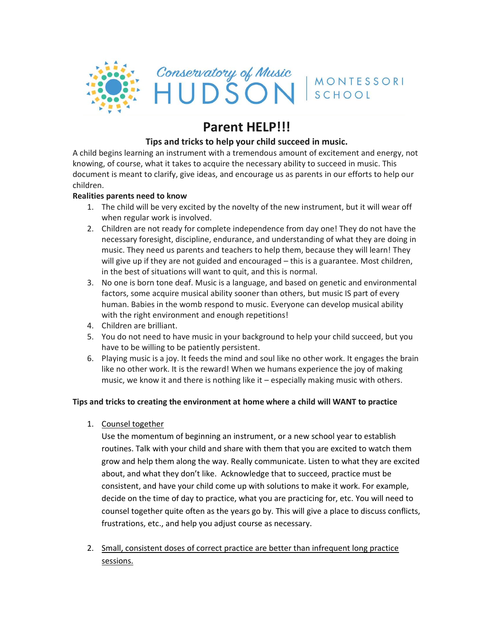

## **Parent HELP!!!**

## **Tips and tricks to help your child succeed in music.**

A child begins learning an instrument with a tremendous amount of excitement and energy, not knowing, of course, what it takes to acquire the necessary ability to succeed in music. This document is meant to clarify, give ideas, and encourage us as parents in our efforts to help our children.

## **Realities parents need to know**

- 1. The child will be very excited by the novelty of the new instrument, but it will wear off when regular work is involved.
- 2. Children are not ready for complete independence from day one! They do not have the necessary foresight, discipline, endurance, and understanding of what they are doing in music. They need us parents and teachers to help them, because they will learn! They will give up if they are not guided and encouraged – this is a guarantee. Most children, in the best of situations will want to quit, and this is normal.
- 3. No one is born tone deaf. Music is a language, and based on genetic and environmental factors, some acquire musical ability sooner than others, but music IS part of every human. Babies in the womb respond to music. Everyone can develop musical ability with the right environment and enough repetitions!
- 4. Children are brilliant.
- 5. You do not need to have music in your background to help your child succeed, but you have to be willing to be patiently persistent.
- 6. Playing music is a joy. It feeds the mind and soul like no other work. It engages the brain like no other work. It is the reward! When we humans experience the joy of making music, we know it and there is nothing like it – especially making music with others.

## **Tips and tricks to creating the environment at home where a child will WANT to practice**

1. Counsel together

Use the momentum of beginning an instrument, or a new school year to establish routines. Talk with your child and share with them that you are excited to watch them grow and help them along the way. Really communicate. Listen to what they are excited about, and what they don't like. Acknowledge that to succeed, practice must be consistent, and have your child come up with solutions to make it work. For example, decide on the time of day to practice, what you are practicing for, etc. You will need to counsel together quite often as the years go by. This will give a place to discuss conflicts, frustrations, etc., and help you adjust course as necessary.

2. Small, consistent doses of correct practice are better than infrequent long practice sessions.